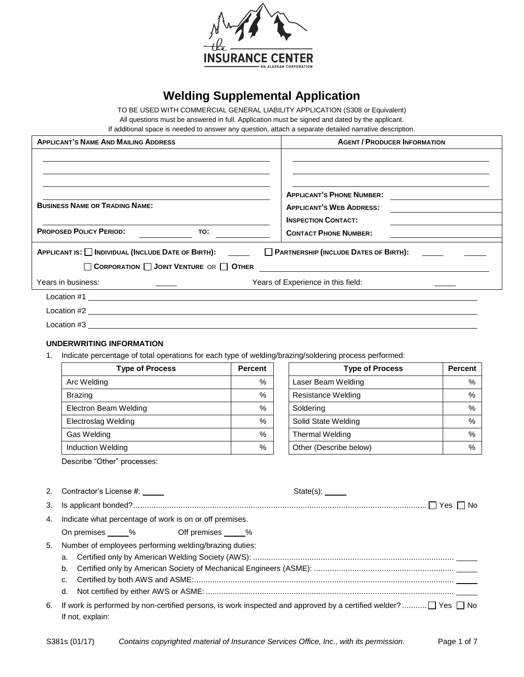

# **Welding Supplemental Application**

TO BE USED WITH COMMERCIAL GENERAL LIABILITY APPLICATION (S308 or Equivalent)

All questions must be answered in full. Application must be signed and dated by the applicant.

If additional space is needed to answer any question, attach a separate detailed narrative description.

| <b>APPLICANT'S NAME AND MAILING ADDRESS</b>                                                           |               | <b>AGENT / PRODUCER INFORMATION</b>                                                        |                |  |
|-------------------------------------------------------------------------------------------------------|---------------|--------------------------------------------------------------------------------------------|----------------|--|
| <b>BUSINESS NAME OR TRADING NAME:</b>                                                                 |               | APPLICANT'S PHONE NUMBER:<br><b>APPLICANT'S WEB ADDRESS:</b><br><b>INSPECTION CONTACT:</b> |                |  |
| <b>PROPOSED POLICY PERIOD:</b>                                                                        | TO:           | <b>CONTACT PHONE NUMBER:</b><br><u> 1989 - Johann Barn, amerikansk politiker (</u>         |                |  |
| APPLICANT IS: INDIVIDUAL (INCLUDE DATE OF BIRTH):                                                     |               | PARTNERSHIP (INCLUDE DATES OF BIRTH):                                                      |                |  |
| CORPORATION JOINT VENTURE OR OTHER                                                                    |               |                                                                                            |                |  |
| Years in business:                                                                                    |               | Years of Experience in this field:                                                         |                |  |
| $Location #1$ $\qquad$                                                                                |               |                                                                                            |                |  |
|                                                                                                       |               |                                                                                            |                |  |
|                                                                                                       |               |                                                                                            |                |  |
| UNDERWRITING INFORMATION                                                                              |               |                                                                                            |                |  |
| Indicate percentage of total operations for each type of welding/brazing/soldering process performed: |               |                                                                                            |                |  |
| <b>Type of Process</b>                                                                                | Percent       | <b>Type of Process</b>                                                                     | <b>Percent</b> |  |
| Arc Welding                                                                                           | $\%$          | Laser Beam Welding                                                                         | $\frac{0}{0}$  |  |
| <b>Brazing</b>                                                                                        | $\%$          | Resistance Welding                                                                         | $\frac{0}{0}$  |  |
| Electron Beam Welding                                                                                 | $\%$          | Soldering                                                                                  | $\%$           |  |
| <b>Electroslag Welding</b>                                                                            | $\%$          | Solid State Welding                                                                        | $\%$           |  |
| Gas Welding                                                                                           | $\%$          | Thermal Welding                                                                            | $\frac{0}{0}$  |  |
| Induction Welding                                                                                     | $\frac{0}{0}$ | Other (Describe below)                                                                     | $\frac{0}{0}$  |  |

Describe "Other" processes:

|    | 2. Contractor's License #:<br>$State(s)$ :                                                                                                    |
|----|-----------------------------------------------------------------------------------------------------------------------------------------------|
|    |                                                                                                                                               |
|    | 4. Indicate what percentage of work is on or off premises.                                                                                    |
|    | On premises 30% Off premises 30%                                                                                                              |
| 5. | Number of employees performing welding/brazing duties:<br>b.                                                                                  |
| 6. | If work is performed by non-certified persons, is work inspected and approved by a certified welder? $\Box$ Yes $\Box$ No<br>If not, explain: |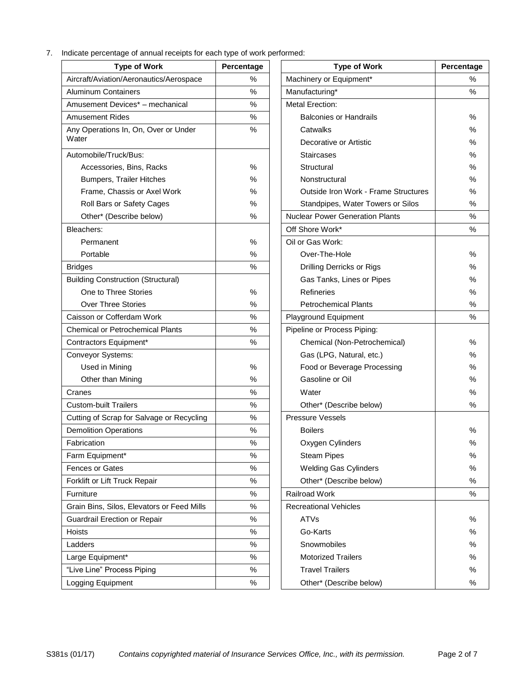7. Indicate percentage of annual receipts for each type of work performed:

| <b>Type of Work</b>                        | Percentage | <b>Type of Work</b>                         | Percenta      |
|--------------------------------------------|------------|---------------------------------------------|---------------|
| Aircraft/Aviation/Aeronautics/Aerospace    | $\%$       | Machinery or Equipment*                     | $\frac{0}{0}$ |
| <b>Aluminum Containers</b>                 | $\%$       | Manufacturing*                              | $\frac{0}{0}$ |
| Amusement Devices* - mechanical            | %          | <b>Metal Erection:</b>                      |               |
| <b>Amusement Rides</b>                     | %          | <b>Balconies or Handrails</b>               | %             |
| Any Operations In, On, Over or Under       | $\%$       | Catwalks                                    | %             |
| Water                                      |            | Decorative or Artistic                      | $\%$          |
| Automobile/Truck/Bus:                      |            | <b>Staircases</b>                           | $\%$          |
| Accessories, Bins, Racks                   | %          | Structural                                  | $\frac{0}{0}$ |
| <b>Bumpers, Trailer Hitches</b>            | $\%$       | Nonstructural                               | $\%$          |
| Frame, Chassis or Axel Work                | %          | <b>Outside Iron Work - Frame Structures</b> | $\%$          |
| Roll Bars or Safety Cages                  | %          | Standpipes, Water Towers or Silos           | %             |
| Other* (Describe below)                    | $\%$       | <b>Nuclear Power Generation Plants</b>      | %             |
| Bleachers:                                 |            | Off Shore Work*                             | %             |
| Permanent                                  | %          | Oil or Gas Work:                            |               |
| Portable                                   | $\%$       | Over-The-Hole                               | $\frac{0}{0}$ |
| <b>Bridges</b>                             | $\%$       | Drilling Derricks or Rigs                   | %             |
| <b>Building Construction (Structural)</b>  |            | Gas Tanks, Lines or Pipes                   | %             |
| One to Three Stories                       | $\%$       | Refineries                                  | $\%$          |
| <b>Over Three Stories</b>                  | %          | <b>Petrochemical Plants</b>                 | %             |
| Caisson or Cofferdam Work                  | %          | Playground Equipment                        | %             |
| <b>Chemical or Petrochemical Plants</b>    | %          | Pipeline or Process Piping:                 |               |
| Contractors Equipment*                     | $\%$       | Chemical (Non-Petrochemical)                | %             |
| Conveyor Systems:                          |            | Gas (LPG, Natural, etc.)                    | %             |
| Used in Mining                             | $\%$       | Food or Beverage Processing                 | $\frac{0}{0}$ |
| Other than Mining                          | %          | Gasoline or Oil                             | $\%$          |
| Cranes                                     | %          | Water                                       | $\%$          |
| <b>Custom-built Trailers</b>               | %          | Other* (Describe below)                     | %             |
| Cutting of Scrap for Salvage or Recycling  | $\%$       | <b>Pressure Vessels</b>                     |               |
| <b>Demolition Operations</b>               | %          | <b>Boilers</b>                              | $\%$          |
| Fabrication                                | $\%$       | Oxygen Cylinders                            | $\%$          |
| Farm Equipment*                            | %          | <b>Steam Pipes</b>                          | $\frac{0}{0}$ |
| Fences or Gates                            | $\%$       | Welding Gas Cylinders                       | $\frac{0}{0}$ |
| Forklift or Lift Truck Repair              | $\%$       | Other* (Describe below)                     | $\%$          |
| Furniture                                  | %          | Railroad Work                               | %             |
| Grain Bins, Silos, Elevators or Feed Mills | $\%$       | <b>Recreational Vehicles</b>                |               |
| Guardrail Erection or Repair               | $\%$       | <b>ATVs</b>                                 | %             |
| Hoists                                     | %          | Go-Karts                                    | $\%$          |
| Ladders                                    | %          | Snowmobiles                                 | %             |
| Large Equipment*                           | $\%$       | <b>Motorized Trailers</b>                   | $\%$          |
| "Live Line" Process Piping                 | %          | <b>Travel Trailers</b>                      | %             |
| Logging Equipment                          | $\%$       | Other* (Describe below)                     | $\%$          |

| <b>Type of Work</b>                    | Percentage    | <b>Type of Work</b>                    |
|----------------------------------------|---------------|----------------------------------------|
| raft/Aviation/Aeronautics/Aerospace    | $\%$          | Machinery or Equipment*                |
| ninum Containers                       | $\%$          | Manufacturing*                         |
| isement Devices* - mechanical          | %             | <b>Metal Erection:</b>                 |
| <b>isement Rides</b>                   | $\%$          | <b>Balconies or Handrails</b>          |
| Operations In, On, Over or Under       | %             | Catwalks                               |
|                                        |               | Decorative or Artistic                 |
| mobile/Truck/Bus:                      |               | <b>Staircases</b>                      |
| Accessories, Bins, Racks               | %             | Structural                             |
| <b>Bumpers, Trailer Hitches</b>        | $\%$          | Nonstructural                          |
| Frame, Chassis or Axel Work            | %             | Outside Iron Work - Frame Structures   |
| Roll Bars or Safety Cages              | %             | Standpipes, Water Towers or Silos      |
| Other* (Describe below)                | %             | <b>Nuclear Power Generation Plants</b> |
| :chers                                 |               | Off Shore Work*                        |
| Permanent                              | $\frac{0}{0}$ | Oil or Gas Work:                       |
| Portable                               | $\%$          | Over-The-Hole                          |
|                                        | %             | Drilling Derricks or Rigs              |
| ding Construction (Structural)         |               | Gas Tanks, Lines or Pipes              |
| One to Three Stories                   | %             | Refineries                             |
| <b>Over Three Stories</b>              | %             | <b>Petrochemical Plants</b>            |
| son or Cofferdam Work                  | %             | Playground Equipment                   |
| mical or Petrochemical Plants          | $\%$          | Pipeline or Process Piping:            |
| tractors Equipment*                    | $\%$          | Chemical (Non-Petrochemical)           |
| veyor Systems:                         |               | Gas (LPG, Natural, etc.)               |
| Used in Mining                         | $\%$          | Food or Beverage Processing            |
| Other than Mining                      | %             | Gasoline or Oil                        |
|                                        | %             | Water                                  |
| tom-built Trailers                     | %             | Other* (Describe below)                |
| ing of Scrap for Salvage or Recycling  | $\%$          | <b>Pressure Vessels</b>                |
| nolition Operations                    | $\%$          | <b>Boilers</b>                         |
| rication                               | %             | Oxygen Cylinders                       |
| n Equipment*                           | $\%$          | <b>Steam Pipes</b>                     |
| ces or Gates                           | $\%$          | <b>Welding Gas Cylinders</b>           |
| lift or Lift Truck Repair              | %             | Other* (Describe below)                |
|                                        | $\%$          | Railroad Work                          |
|                                        |               |                                        |
| n Bins, Silos, Elevators or Feed Mills | %             | <b>Recreational Vehicles</b>           |
| rdrail Erection or Repair              | %             | <b>ATVs</b>                            |
|                                        | %             | Go-Karts                               |
|                                        | %             | Snowmobiles                            |
| e Equipment*                           | $\%$          | <b>Motorized Trailers</b>              |
| <b>Example 1</b> Process Piping        | %             | <b>Travel Trailers</b>                 |
| ging Equipment                         | $\%$          | Other* (Describe below)                |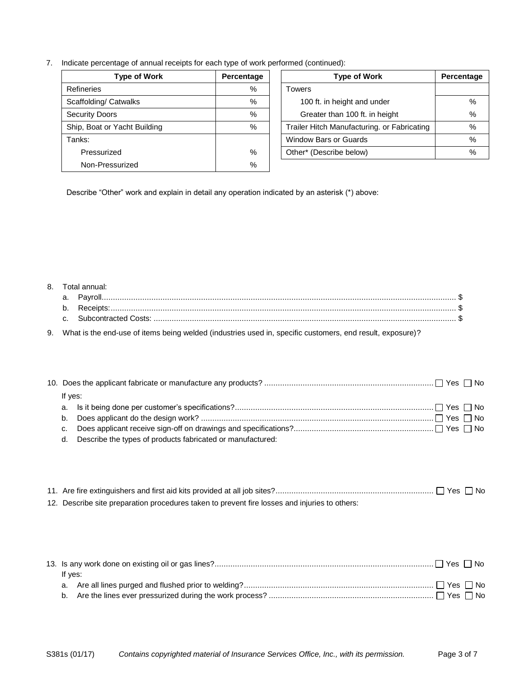7. Indicate percentage of annual receipts for each type of work performed (continued):

| <b>Type of Work</b>          | Percentage | <b>Type of Work</b>                         | Percenta      |
|------------------------------|------------|---------------------------------------------|---------------|
| <b>Refineries</b>            | %          | Towers                                      |               |
| Scaffolding/ Catwalks        | %          | 100 ft. in height and under                 | $\frac{0}{0}$ |
| <b>Security Doors</b>        | %          | Greater than 100 ft. in height              | $\frac{0}{0}$ |
| Ship, Boat or Yacht Building | %          | Trailer Hitch Manufacturing. or Fabricating | $\frac{0}{0}$ |
| Tanks:                       |            | <b>Window Bars or Guards</b>                | $\frac{0}{0}$ |
| Pressurized                  | %          | Other* (Describe below)                     | $\frac{0}{0}$ |
| Non-Pressurized              | %          |                                             |               |

| Percentage | <b>Type of Work</b>                         | Percentage |
|------------|---------------------------------------------|------------|
| %          | Towers                                      |            |
| %          | 100 ft. in height and under                 | %          |
| $\%$       | Greater than 100 ft. in height              | %          |
| $\%$       | Trailer Hitch Manufacturing. or Fabricating | $\%$       |
|            | <b>Window Bars or Guards</b>                | %          |
| %          | Other* (Describe below)                     | %          |
|            |                                             |            |

Describe "Other" work and explain in detail any operation indicated by an asterisk (\*) above:

#### 8. Total annual:

9. What is the end-use of items being welded (industries used in, specific customers, end result, exposure)?

| If yes: |                                                               |
|---------|---------------------------------------------------------------|
|         |                                                               |
|         |                                                               |
|         |                                                               |
|         | d. Describe the types of products fabricated or manufactured: |

| 12. Describe site preparation procedures taken to prevent fire losses and injuries to others: |  |
|-----------------------------------------------------------------------------------------------|--|

| If yes: |  |
|---------|--|
|         |  |
|         |  |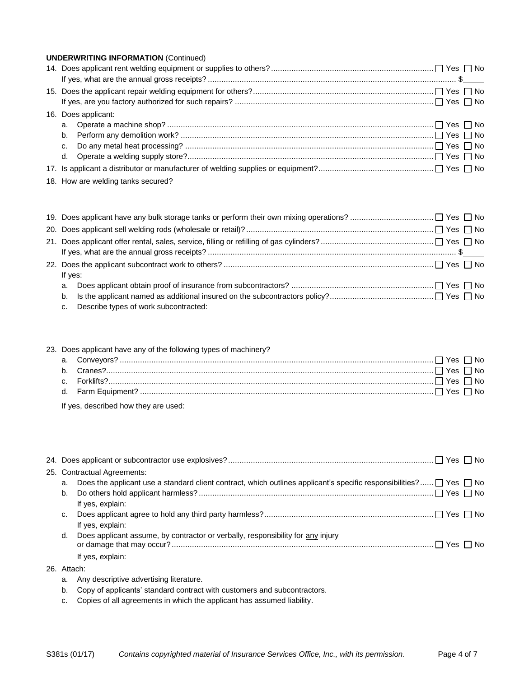| <b>UNDERWRITING INFORMATION (Continued)</b> |
|---------------------------------------------|
|                                             |
|                                             |
|                                             |
|                                             |
| 16. Does applicant:                         |
|                                             |
| b.                                          |
|                                             |
|                                             |
|                                             |
| 18. How are welding tanks secured?          |

| If yes:                                  |  |
|------------------------------------------|--|
|                                          |  |
|                                          |  |
| c. Describe types of work subcontracted: |  |
|                                          |  |

| 23. Does applicant have any of the following types of machinery? |                                      |  |
|------------------------------------------------------------------|--------------------------------------|--|
|                                                                  |                                      |  |
|                                                                  |                                      |  |
|                                                                  |                                      |  |
|                                                                  |                                      |  |
|                                                                  | If yes, described how they are used: |  |

| 25. Contractual Agreements: |                                                                                                                               |  |
|-----------------------------|-------------------------------------------------------------------------------------------------------------------------------|--|
| a.                          | Does the applicant use a standard client contract, which outlines applicant's specific responsibilities? $\Box$ Yes $\Box$ No |  |
| b.                          |                                                                                                                               |  |
|                             | If yes, explain:                                                                                                              |  |
| c.                          |                                                                                                                               |  |
|                             | If yes, explain:                                                                                                              |  |
| d.                          | Does applicant assume, by contractor or verbally, responsibility for any injury                                               |  |
|                             | If yes, explain:                                                                                                              |  |
| 26. Attach:                 |                                                                                                                               |  |

- a. Any descriptive advertising literature.
- b. Copy of applicants' standard contract with customers and subcontractors.
- c. Copies of all agreements in which the applicant has assumed liability.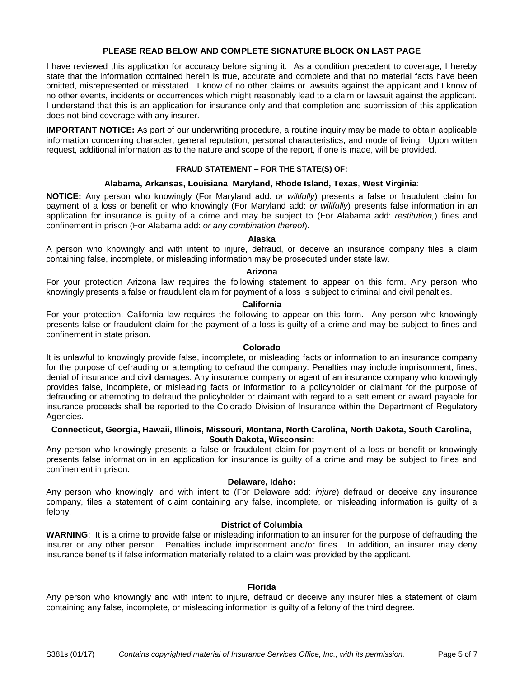# **PLEASE READ BELOW AND COMPLETE SIGNATURE BLOCK ON LAST PAGE**

I have reviewed this application for accuracy before signing it. As a condition precedent to coverage, I hereby state that the information contained herein is true, accurate and complete and that no material facts have been omitted, misrepresented or misstated. I know of no other claims or lawsuits against the applicant and I know of no other events, incidents or occurrences which might reasonably lead to a claim or lawsuit against the applicant. I understand that this is an application for insurance only and that completion and submission of this application does not bind coverage with any insurer.

**IMPORTANT NOTICE:** As part of our underwriting procedure, a routine inquiry may be made to obtain applicable information concerning character, general reputation, personal characteristics, and mode of living. Upon written request, additional information as to the nature and scope of the report, if one is made, will be provided.

# **FRAUD STATEMENT – FOR THE STATE(S) OF:**

# **Alabama, Arkansas, Louisiana**, **Maryland, Rhode Island, Texas**, **West Virginia**:

**NOTICE:** Any person who knowingly (For Maryland add: *or willfully*) presents a false or fraudulent claim for payment of a loss or benefit or who knowingly (For Maryland add: *or willfully*) presents false information in an application for insurance is guilty of a crime and may be subject to (For Alabama add: *restitution,*) fines and confinement in prison (For Alabama add: *or any combination thereof*).

# **Alaska**

A person who knowingly and with intent to injure, defraud, or deceive an insurance company files a claim containing false, incomplete, or misleading information may be prosecuted under state law.

# **Arizona**

For your protection Arizona law requires the following statement to appear on this form. Any person who knowingly presents a false or fraudulent claim for payment of a loss is subject to criminal and civil penalties.

# **California**

For your protection, California law requires the following to appear on this form. Any person who knowingly presents false or fraudulent claim for the payment of a loss is guilty of a crime and may be subject to fines and confinement in state prison.

#### **Colorado**

It is unlawful to knowingly provide false, incomplete, or misleading facts or information to an insurance company for the purpose of defrauding or attempting to defraud the company. Penalties may include imprisonment, fines, denial of insurance and civil damages. Any insurance company or agent of an insurance company who knowingly provides false, incomplete, or misleading facts or information to a policyholder or claimant for the purpose of defrauding or attempting to defraud the policyholder or claimant with regard to a settlement or award payable for insurance proceeds shall be reported to the Colorado Division of Insurance within the Department of Regulatory Agencies.

# **Connecticut, Georgia, Hawaii, Illinois, Missouri, Montana, North Carolina, North Dakota, South Carolina, South Dakota, Wisconsin:**

Any person who knowingly presents a false or fraudulent claim for payment of a loss or benefit or knowingly presents false information in an application for insurance is guilty of a crime and may be subject to fines and confinement in prison.

#### **Delaware, Idaho:**

Any person who knowingly, and with intent to (For Delaware add: *injure*) defraud or deceive any insurance company, files a statement of claim containing any false, incomplete, or misleading information is guilty of a felony.

# **District of Columbia**

**WARNING**: It is a crime to provide false or misleading information to an insurer for the purpose of defrauding the insurer or any other person. Penalties include imprisonment and/or fines. In addition, an insurer may deny insurance benefits if false information materially related to a claim was provided by the applicant.

#### **Florida**

Any person who knowingly and with intent to injure, defraud or deceive any insurer files a statement of claim containing any false, incomplete, or misleading information is guilty of a felony of the third degree.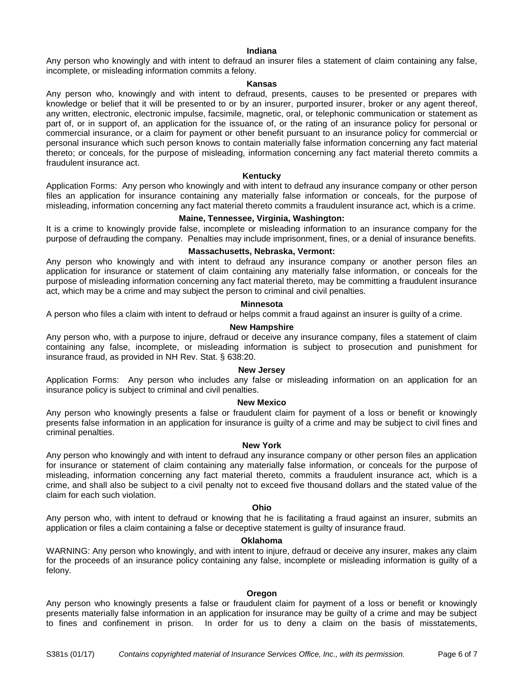#### **Indiana**

Any person who knowingly and with intent to defraud an insurer files a statement of claim containing any false, incomplete, or misleading information commits a felony.

#### **Kansas**

Any person who, knowingly and with intent to defraud, presents, causes to be presented or prepares with knowledge or belief that it will be presented to or by an insurer, purported insurer, broker or any agent thereof, any written, electronic, electronic impulse, facsimile, magnetic, oral, or telephonic communication or statement as part of, or in support of, an application for the issuance of, or the rating of an insurance policy for personal or commercial insurance, or a claim for payment or other benefit pursuant to an insurance policy for commercial or personal insurance which such person knows to contain materially false information concerning any fact material thereto; or conceals, for the purpose of misleading, information concerning any fact material thereto commits a fraudulent insurance act.

#### **Kentucky**

Application Forms: Any person who knowingly and with intent to defraud any insurance company or other person files an application for insurance containing any materially false information or conceals, for the purpose of misleading, information concerning any fact material thereto commits a fraudulent insurance act, which is a crime.

# **Maine, Tennessee, Virginia, Washington:**

It is a crime to knowingly provide false, incomplete or misleading information to an insurance company for the purpose of defrauding the company. Penalties may include imprisonment, fines, or a denial of insurance benefits.

#### **Massachusetts, Nebraska, Vermont:**

Any person who knowingly and with intent to defraud any insurance company or another person files an application for insurance or statement of claim containing any materially false information, or conceals for the purpose of misleading information concerning any fact material thereto, may be committing a fraudulent insurance act, which may be a crime and may subject the person to criminal and civil penalties.

#### **Minnesota**

A person who files a claim with intent to defraud or helps commit a fraud against an insurer is guilty of a crime.

#### **New Hampshire**

Any person who, with a purpose to injure, defraud or deceive any insurance company, files a statement of claim containing any false, incomplete, or misleading information is subject to prosecution and punishment for insurance fraud, as provided in NH Rev. Stat. § 638:20.

## **New Jersey**

Application Forms: Any person who includes any false or misleading information on an application for an insurance policy is subject to criminal and civil penalties.

#### **New Mexico**

Any person who knowingly presents a false or fraudulent claim for payment of a loss or benefit or knowingly presents false information in an application for insurance is guilty of a crime and may be subject to civil fines and criminal penalties.

#### **New York**

Any person who knowingly and with intent to defraud any insurance company or other person files an application for insurance or statement of claim containing any materially false information, or conceals for the purpose of misleading, information concerning any fact material thereto, commits a fraudulent insurance act, which is a crime, and shall also be subject to a civil penalty not to exceed five thousand dollars and the stated value of the claim for each such violation.

## **Ohio**

Any person who, with intent to defraud or knowing that he is facilitating a fraud against an insurer, submits an application or files a claim containing a false or deceptive statement is guilty of insurance fraud.

#### **Oklahoma**

WARNING: Any person who knowingly, and with intent to injure, defraud or deceive any insurer, makes any claim for the proceeds of an insurance policy containing any false, incomplete or misleading information is guilty of a felony.

#### **Oregon**

Any person who knowingly presents a false or fraudulent claim for payment of a loss or benefit or knowingly presents materially false information in an application for insurance may be guilty of a crime and may be subject to fines and confinement in prison. In order for us to deny a claim on the basis of misstatements,